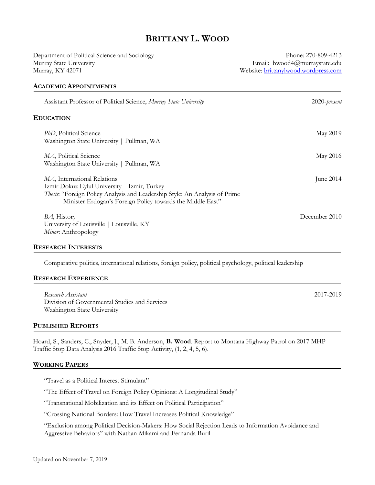# BRITTANY L. WOOD

Department of Political Science and Sociology Murray State University Murray, KY 42071

Phone: 270-809-4213 Email: bwood4@murraystate.edu Website: brittanylwood.wordpress.com

#### ACADEMIC APPOINTMENTS

| Assistant Professor of Political Science, Murray State University                                                                                                                                                        | $2020$ -present |
|--------------------------------------------------------------------------------------------------------------------------------------------------------------------------------------------------------------------------|-----------------|
| Education                                                                                                                                                                                                                |                 |
| <i>PhD</i> , Political Science<br>Washington State University   Pullman, WA                                                                                                                                              | May 2019        |
| MA, Political Science<br>Washington State University   Pullman, WA                                                                                                                                                       | May 2016        |
| MA, International Relations<br>Izmir Dokuz Eylul University   Izmir, Turkey<br>Thesis: "Foreign Policy Analysis and Leadership Style: An Analysis of Prime<br>Minister Erdogan's Foreign Policy towards the Middle East" | June 2014       |
| BA, History<br>University of Louisville   Louisville, KY<br>Minor. Anthropology                                                                                                                                          | December 2010   |

#### RESEARCH INTERESTS

Comparative politics, international relations, foreign policy, political psychology, political leadership

#### RESEARCH EXPERIENCE

Ī

Research Assistant 2017-2019 Division of Governmental Studies and Services Washington State University

#### PUBLISHED REPORTS

Hoard, S., Sanders, C., Snyder, J., M. B. Anderson, B. Wood. Report to Montana Highway Patrol on 2017 MHP Traffic Stop Data Analysis 2016 Traffic Stop Activity, (1, 2, 4, 5, 6).

#### WORKING PAPERS

"Travel as a Political Interest Stimulant"

"The Effect of Travel on Foreign Policy Opinions: A Longitudinal Study"

"Transnational Mobilization and its Effect on Political Participation"

"Crossing National Borders: How Travel Increases Political Knowledge"

"Exclusion among Political Decision-Makers: How Social Rejection Leads to Information Avoidance and Aggressive Behaviors" with Nathan Mikami and Fernanda Buril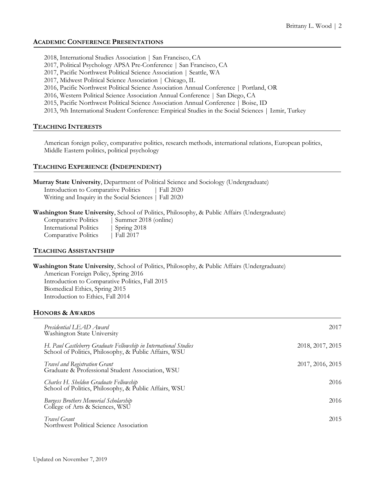# ACADEMIC CONFERENCE PRESENTATIONS

2018, International Studies Association | San Francisco, CA

- 2017, Political Psychology APSA Pre-Conference | San Francisco, CA
- 2017, Pacific Northwest Political Science Association | Seattle, WA
- 2017, Midwest Political Science Association | Chicago, IL
- 2016, Pacific Northwest Political Science Association Annual Conference | Portland, OR
- 2016, Western Political Science Association Annual Conference | San Diego, CA
- 2015, Pacific Northwest Political Science Association Annual Conference | Boise, ID

2013, 9th International Student Conference: Empirical Studies in the Social Sciences | Izmir, Turkey

## TEACHING INTERESTS

American foreign policy, comparative politics, research methods, international relations, European politics, Middle Eastern politics, political psychology

## TEACHING EXPERIENCE (INDEPENDENT)

Murray State University, Department of Political Science and Sociology (Undergraduate) Introduction to Comparative Politics | Fall 2020 Writing and Inquiry in the Social Sciences | Fall 2020

Washington State University, School of Politics, Philosophy, & Public Affairs (Undergraduate)

| Comparative Politics   | Summer 2018 (online) |
|------------------------|----------------------|
| International Politics | $\vert$ Spring 2018  |
| Comparative Politics   | $ $ Fall 2017        |

## TEACHING ASSISTANTSHIP

Washington State University, School of Politics, Philosophy, & Public Affairs (Undergraduate) American Foreign Policy, Spring 2016 Introduction to Comparative Politics, Fall 2015 Biomedical Ethics, Spring 2015 Introduction to Ethics, Fall 2014

## HONORS & AWARDS

| Presidential LEAD Award<br>Washington State University                                                                    | 2017             |
|---------------------------------------------------------------------------------------------------------------------------|------------------|
| H. Paul Castleberry Graduate Fellowship in International Studies<br>School of Politics, Philosophy, & Public Affairs, WSU | 2018, 2017, 2015 |
| <b>Travel and Registration Grant</b><br>Graduate & Professional Student Association, WSU                                  | 2017, 2016, 2015 |
| Charles H. Sheldon Graduate Fellowship<br>School of Politics, Philosophy, & Public Affairs, WSU                           | 2016             |
| <b>Burgess Brothers Memorial Scholarship</b><br>College of Arts & Sciences, WSU                                           | 2016             |
| Travel Grant<br>Northwest Political Science Association                                                                   | 2015             |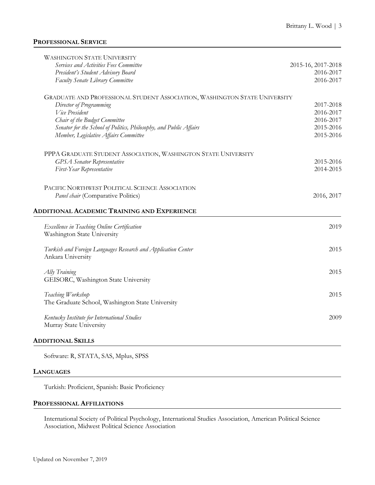## PROFESSIONAL SERVICE

| <b>WASHINGTON STATE UNIVERSITY</b>                                         |                    |
|----------------------------------------------------------------------------|--------------------|
| Services and Activities Fees Committee                                     | 2015-16, 2017-2018 |
| President's Student Advisory Board                                         | 2016-2017          |
| Faculty Senate Library Committee                                           | 2016-2017          |
| GRADUATE AND PROFESSIONAL STUDENT ASSOCIATION, WASHINGTON STATE UNIVERSITY |                    |
| Director of Programming                                                    | 2017-2018          |
| Vice President                                                             | 2016-2017          |
| Chair of the Budget Committee                                              | 2016-2017          |
| Senator for the School of Politics, Philosophy, and Public Affairs         | 2015-2016          |
| Member, Legislative Affairs Committee                                      | 2015-2016          |
| PPPA GRADUATE STUDENT ASSOCIATION, WASHINGTON STATE UNIVERSITY             |                    |
| <b>GPSA</b> Senator Representative                                         | 2015-2016          |
| First-Year Representative                                                  | 2014-2015          |
| PACIFIC NORTHWEST POLITICAL SCIENCE ASSOCIATION                            |                    |
| Panel chair (Comparative Politics)                                         | 2016, 2017         |
| <b>ADDITIONAL ACADEMIC TRAINING AND EXPERIENCE</b>                         |                    |
| <b>Excellence in Teaching Online Certification</b>                         | 2019               |
| Washington State University                                                |                    |
| Turkish and Foreign Languages Research and Application Center              | 2015               |
| Ankara University                                                          |                    |
| Ally Training                                                              | 2015               |
| GEISORC, Washington State University                                       |                    |
| Teaching Workshop                                                          | 2015               |
| The Graduate School, Washington State University                           |                    |
| Kentucky Institute for International Studies                               | 2009               |
| Murray State University                                                    |                    |
|                                                                            |                    |

ADDITIONAL SKILLS

Software: R, STATA, SAS, Mplus, SPSS

#### LANGUAGES

Turkish: Proficient, Spanish: Basic Proficiency

#### PROFESSIONAL AFFILIATIONS

International Society of Political Psychology, International Studies Association, American Political Science Association, Midwest Political Science Association